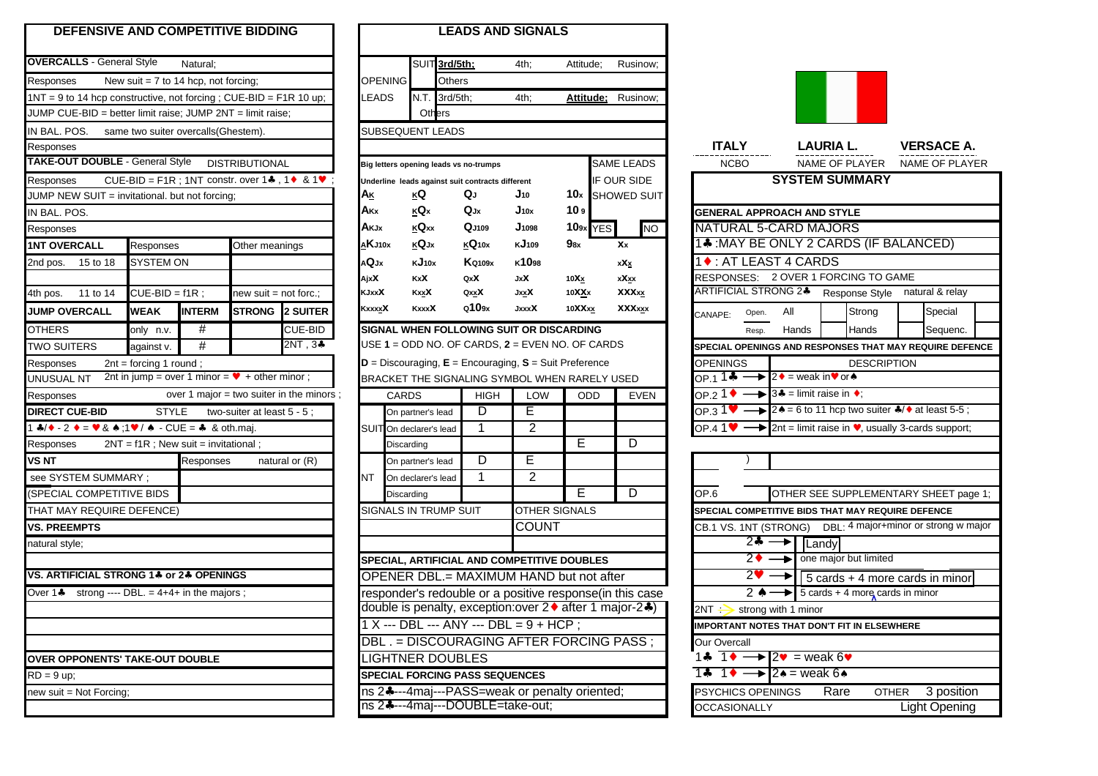| DEFENSIVE AND COMPETITIVE BIDDING                                  |                                                       |               |                                        |                                           |                |                    |                                        | <b>LEADS AND SIGNALS</b>                         |                   |                                                           |                   |
|--------------------------------------------------------------------|-------------------------------------------------------|---------------|----------------------------------------|-------------------------------------------|----------------|--------------------|----------------------------------------|--------------------------------------------------|-------------------|-----------------------------------------------------------|-------------------|
| <b>OVERCALLS - General Style</b><br>Natural:                       |                                                       |               |                                        |                                           |                |                    | SUIT 3rd/5th;                          |                                                  | 4th:              | Attitude;                                                 | Rusinow;          |
| Responses                                                          | New suit = $7$ to 14 hcp, not forcing;                |               |                                        |                                           |                | <b>OPENING</b>     | Others                                 |                                                  |                   |                                                           |                   |
| 1NT = 9 to 14 hcp constructive, not forcing ; CUE-BID = F1R 10 up; |                                                       |               |                                        |                                           |                | LEADS              | N.T. 3rd/5th;                          |                                                  | 4th;              | <u>Attitude;</u>                                          | Rusinow:          |
| JUMP CUE-BID = better limit raise; JUMP 2NT = limit raise;         |                                                       |               |                                        |                                           |                |                    | Others                                 |                                                  |                   |                                                           |                   |
| in Bal. Pos.                                                       | same two suiter overcalls(Ghestem).                   |               |                                        |                                           |                |                    | SUBSEQUENT LEADS                       |                                                  |                   |                                                           |                   |
| Responses                                                          |                                                       |               |                                        |                                           |                |                    |                                        |                                                  |                   |                                                           |                   |
| <b>TAKE-OUT DOUBLE - General Style</b>                             |                                                       |               | <b>DISTRIBUTIONAL</b>                  |                                           |                |                    | Big letters opening leads vs no-trumps |                                                  |                   |                                                           | <b>SAME LEADS</b> |
| Responses                                                          | CUE-BID = F1R; 1NT constr. over $1*$ , $1*$ & $1*$    |               |                                        |                                           |                |                    |                                        | Underline leads against suit contracts different |                   |                                                           | if our side       |
| JUMP NEW SUIT = invitational. but not forcing;                     |                                                       |               |                                        |                                           | Αĸ.            |                    | <u>ĸQ</u>                              | QJ                                               | J10               | 10 <sub>x</sub>                                           | SHOWED SUIT       |
| IN BAL. POS.                                                       |                                                       |               |                                        |                                           | Aĸx            |                    | $KQ_X$                                 | QJx                                              | $J_{10x}$         | 10 s                                                      |                   |
| Responses                                                          |                                                       |               |                                        |                                           | Akjx           |                    | <b>KQxx</b>                            | QJ109                                            | J <sub>1098</sub> | $109x$ YES                                                | <b>NO</b>         |
| <b>1NT OVERCALL</b>                                                | Responses                                             |               | Other meanings                         |                                           | aKj10x         |                    | <b>KQJx</b>                            | <b>KQ10x</b>                                     | KJ109             | $9_{8x}$                                                  | Xx                |
| 2nd pos.<br>15 to 18                                               | <b>SYSTEM ON</b>                                      |               |                                        |                                           | <b>AQJx</b>    |                    | KJ <sub>10x</sub>                      | <b>K</b> Q109x                                   | K1098             |                                                           | xXx               |
|                                                                    |                                                       |               |                                        |                                           | AjxX           |                    | KxX                                    | QxX                                              | <b>JxX</b>        | 10Xx                                                      | xXxx              |
| 11 to 14<br>4th pos.                                               | $CUE-BID = f1R$ ;                                     |               | new suit $=$ not forc.;                |                                           | KJxxX          |                    | <b>KxxX</b>                            | Qxx <b>X</b>                                     | <b>JxxX</b>       | 10XXx                                                     | <b>XXXxx</b>      |
| <b>JUMP OVERCALL</b>                                               | <b>WEAK</b>                                           | <b>INTERM</b> |                                        | <b>STRONG</b> 2 SUITER                    | Kxxxx <b>X</b> |                    | <b>KxxxX</b>                           | Q109x                                            | <b>JxxxX</b>      | 10XXxx                                                    | <b>XXX</b> xxx    |
| <b>OTHERS</b>                                                      | only n.v.                                             | #             |                                        | CUE-BID                                   |                |                    |                                        | SIGNAL WHEN FOLLOWING SUIT OR DISCARDING         |                   |                                                           |                   |
| TWO SUITERS                                                        | against v.                                            | #             |                                        | 2NT, 3≱                                   |                |                    |                                        |                                                  |                   | USE $1 =$ ODD NO. OF CARDS, $2 =$ EVEN NO. OF CARDS       |                   |
| Responses                                                          | $2nt = forcing 1 round;$                              |               |                                        |                                           |                |                    |                                        |                                                  |                   | $D = Discouraging, E = Encouraging, S = Suit Preference$  |                   |
| <b>UNUSUAL NT</b>                                                  | 2nt in jump = over 1 minor = $\bullet$ + other minor; |               |                                        |                                           |                |                    |                                        |                                                  |                   | BRACKET THE SIGNALING SYMBOL WHEN RARELY USED             |                   |
| Responses                                                          |                                                       |               |                                        | over 1 major = two suiter in the minors ; |                | <b>CARDS</b>       |                                        | <b>HIGH</b>                                      | <b>LOW</b>        | <b>ODD</b>                                                | <b>EVEN</b>       |
| <b>DIRECT CUE-BID</b>                                              | <b>STYLE</b>                                          |               | two-suiter at least $\overline{5-5}$ ; |                                           |                |                    | On partner's lead                      | D                                                | Ε                 |                                                           |                   |
| $1 * / * - 2 * = v 8 * ; 1 v / * - CUE = * 8$ oth maj.             |                                                       |               |                                        |                                           |                |                    | SUITOn declarer's lead                 | 1                                                | 2                 |                                                           |                   |
| Responses                                                          | $2NT = f1R$ ; New suit = invitational;                |               |                                        |                                           |                | Discarding         |                                        |                                                  |                   | E                                                         | D                 |
| <b>VSNT</b>                                                        |                                                       | Responses     |                                        | natural or $(R)$                          |                |                    | On partner's lead                      | D                                                | Е                 |                                                           |                   |
| see SYSTEM SUMMARY;                                                |                                                       |               |                                        | NΤ                                        |                | On declarer's lead | 1                                      | $\overline{2}$                                   |                   |                                                           |                   |
| (SPECIAL COMPETITIVE BIDS                                          |                                                       |               |                                        |                                           | Discarding     |                    |                                        |                                                  | E                 | D                                                         |                   |
| THAT MAY REQUIRE DEFENCE)                                          |                                                       |               |                                        |                                           |                |                    | SIGNALS IN TRUMP SUIT                  |                                                  |                   | <b>OTHER SIGNALS</b>                                      |                   |
| <b>VS. PREEMPTS</b>                                                |                                                       |               |                                        |                                           |                |                    |                                        |                                                  | COUNT             |                                                           |                   |
| natural style;                                                     |                                                       |               |                                        |                                           |                |                    |                                        |                                                  |                   |                                                           |                   |
|                                                                    |                                                       |               |                                        |                                           |                |                    |                                        |                                                  |                   | SPECIAL, ARTIFICIAL AND COMPETITIVE DOUBLES               |                   |
| VS. ARTIFICIAL STRONG 1§ or 2§ OPENINGS                            |                                                       |               |                                        |                                           |                |                    |                                        |                                                  |                   | OPENER DBL.= MAXIMUM HAND but not after                   |                   |
| Over 1.                                                            | strong ---- DBL. = $4+4+$ in the majors;              |               |                                        |                                           |                |                    |                                        |                                                  |                   | responder's redouble or a positive response(in this case  |                   |
|                                                                    |                                                       |               |                                        |                                           |                |                    |                                        |                                                  |                   | double is penalty, exception: over 2 • after 1 major-2.•) |                   |
|                                                                    |                                                       |               |                                        |                                           |                |                    |                                        | $1 X -- DBL -- AND -- DBL = 9 + HCP ;$           |                   |                                                           |                   |
|                                                                    |                                                       |               |                                        |                                           |                |                    |                                        |                                                  |                   | DBL. = DISCOURAGING AFTER FORCING PASS;                   |                   |
| <b>OVER OPPONENTS' TAKE-OUT DOUBLE</b>                             |                                                       |               |                                        |                                           |                |                    | <b>LIGHTNER DOUBLES</b>                |                                                  |                   |                                                           |                   |
| $RD = 9$ up;                                                       |                                                       |               |                                        |                                           |                |                    |                                        | <b>SPECIAL FORCING PASS SEQUENCES</b>            |                   |                                                           |                   |
| new suit = Not Forcing;                                            |                                                       |               |                                        |                                           |                |                    |                                        |                                                  |                   | ns 2+---4maj---PASS=weak or penalty oriented;             |                   |
|                                                                    |                                                       |               |                                        |                                           |                |                    |                                        | ns 2+---4maj---DOUBLE=take-out;                  |                   |                                                           |                   |

#### **LEADS AND SIGNALS** LEADS N.T. 3rd/5th; 4th; Attitude; Rusinow; SUBSEQUENT LEADS Responses **ITALY LAURIA L. VERSACE A. The DUMBLE Big letters opening leads vs no-trumps** SAME LEADS **F**<br>**EXECOPERENE UNTER : UNIT : 1999 IF OUR SIDE**  $A_K$   $K$ **Q Q** J<sub>10</sub> 10<sub>x</sub> SHOWED SUIT IN BAL. POS. **AKx <sup>K</sup>Q<sup>x</sup> QJx J10x 10<sup>9</sup> GENERAL APPROACH AND STYLE** Responses **AKJx <sup>K</sup>Qxx QJ109 J<sup>1098</sup> 109x** YES NO NATURAL 5-CARD MAJORS 1NT OVERCALL Responses Other meanings AKJ10x KQJx KQ10x KJ109 98x Xx 1 1.\* NAY BE ONLY 2 CARDS (IF BALANCED) 2nd pos. 15 to 18 SYSTEM ON **<sup>A</sup>QJx <sup>K</sup>J10x KQ109x <sup>K</sup>10<sup>98</sup> <sup>x</sup>x<sup>x</sup>** 1♦ : AT LEAST 4 CARDS **Ajxx Kxx Qxx Jxx <sup>10</sup>x<sup>x</sup> <sup>x</sup>xxx** RESPONSES: 2 OVER 1 FORCING TO GAME 4th pos. 11 to 14 CUE-BID = f1R; new suit = not forc.; Kxxx Kxx<sup>x</sup> Kxxx Axxx xxx 10XXx XXXxx ARTIFICIAL STRONG 2. Response Style natural & relay **SIGNAL WHEN FOLLOWING SUIT OR DISCARDING** USE **1** = ODD NO. OF CARDS, **2** = EVEN NO. OF CARDS **D** = Discouraging, **E** = Encouraging, **S** = Suit Preference BRACKET THE SIGNALING SYMBOL WHEN RARELY USED Responses over 1 major = two suiter in the minors ; CARDS HIGH LOW ODD EVEN OP.2 1 ◆ 3♣ = limit raise in ◆; **DIRECT CUE-BID** STYLE two-suiter at least 5 - 5 ; On partner's lead D E OP.3 1♥ 2▲ = 6 to 11 hcp two suiter ♣/◆ at least 5-5 ; 1 **∌/◆ - 2 ◆ = ♥ & ♦ ;1 ♥ / ♠** - CUE = ♣ & oth.maj. SUIT On declarer's lead 1 2 OP.4 1 ♥ 2nt = limit raise in ♥, usually 3-cards support; **VS NT** Responses natural or (R) On partner's lead D E **Interventional CO** ) NT On declarer's lead 1 2 (SPECIAL COMPETITIVE BIDS **EXECUTE: IT CONTAINS A DISCARDING THE REAL OP.5** OTHER SEE SUPPLEMENTARY SHEET page 1; **SIGNALS IN TRUMP SUIT OTHER SIGNALS VS. PREEMPTS COUNT** CB.1 VS. 1NT (STRONG) DBL: 4 major+minor or strong w major natural style;  $\sim$  2♣ **SPECIAL, ARTIFICIAL AND COMPETITIVE DOUBLES VICENER DBL.= MAXIMUM HAND but not after** responder's redouble or a positive response(in this case double is penalty, exception: over  $2 \cdot$  after 1 major-2 $\ast$ ) 1 X --- DBL --- ANY --- DBL = 9 + HCP; DBL . = DISCOURAGING AFTER FORCING PASS ; **LIGHTNER DOUBLES SPECIAL FORCING PASS SEQUENCES** ns 2 $\clubsuit$ ---4maj---PASS=weak or penalty oriented; ns 2♣---4maj---DOUBLE=take-out;



| <b>NCBO</b>                                                                              |               |                              |  | NAME OF PLAYER NAME OF PLAYER                           |  |                 |  |  |
|------------------------------------------------------------------------------------------|---------------|------------------------------|--|---------------------------------------------------------|--|-----------------|--|--|
| <b>SYSTEM SUMMARY</b>                                                                    |               |                              |  |                                                         |  |                 |  |  |
| <b>GENERAL APPROACH AND STYLE</b>                                                        |               |                              |  |                                                         |  |                 |  |  |
|                                                                                          |               | <b>NATURAL 5-CARD MAJORS</b> |  |                                                         |  |                 |  |  |
|                                                                                          |               |                              |  | 1. MAY BE ONLY 2 CARDS (IF BALANCED)                    |  |                 |  |  |
|                                                                                          |               | 1◆ : AT LEAST 4 CARDS        |  |                                                         |  |                 |  |  |
| RESPONSES:                                                                               |               |                              |  | 2 OVER 1 FORCING TO GAME                                |  |                 |  |  |
| <b>ARTIFICIAL STRONG 2+</b>                                                              |               |                              |  | <b>Response Style</b>                                   |  | natural & relay |  |  |
| CANAPE:                                                                                  | Open.         | All                          |  | Strong                                                  |  | Special         |  |  |
|                                                                                          | Resp.         | Hands                        |  | Hands                                                   |  | Sequenc.        |  |  |
|                                                                                          |               |                              |  | SPECIAL OPENINGS AND RESPONSES THAT MAY REQUIRE DEFENCE |  |                 |  |  |
| <b>OPENINGS</b>                                                                          |               |                              |  | <b>DESCRIPTION</b>                                      |  |                 |  |  |
| $_{OP.1}14 -$<br>$\rightarrow$ 2 $\bullet$ = weak in $\bullet$ or $\bullet$              |               |                              |  |                                                         |  |                 |  |  |
| OP.2 1 $\bullet$ −<br>$\rightarrow$ 3 $\ast$ = limit raise in $\ast$ ;                   |               |                              |  |                                                         |  |                 |  |  |
| OP.3 1 $\blacktriangledown$<br>→ 2★ = 6 to 11 hcp two suiter $\frac{2}{3}$ at least 5-5; |               |                              |  |                                                         |  |                 |  |  |
| OP.4 $1$ $\bullet$<br>2nt = limit raise in $\bullet$ , usually 3-cards support;<br>,     |               |                              |  |                                                         |  |                 |  |  |
|                                                                                          |               |                              |  |                                                         |  |                 |  |  |
|                                                                                          | $\mathcal{E}$ |                              |  |                                                         |  |                 |  |  |
|                                                                                          |               |                              |  |                                                         |  |                 |  |  |
| OP.6                                                                                     |               |                              |  | OTHER SEE SUPPLEMENTARY SHEET page 1;                   |  |                 |  |  |
|                                                                                          |               |                              |  | SPECIAL COMPETITIVE BIDS THAT MAY REQUIRE DEFENCE       |  |                 |  |  |
|                                                                                          |               | CB.1 VS. 1NT (STRONG)        |  | DBL: 4 major+minor or strong w major                    |  |                 |  |  |
| $2*$<br>$\blacktriangleright$   Landy                                                    |               |                              |  |                                                         |  |                 |  |  |
| one major but limited<br>2◆ -<br>$\blacktriangleright$                                   |               |                              |  |                                                         |  |                 |  |  |
| 2♥.<br>5 cards + 4 more cards in minor                                                   |               |                              |  |                                                         |  |                 |  |  |
| $2 \triangle$<br>$\overline{5}$ cards + 4 more cards in minor<br>ы                       |               |                              |  |                                                         |  |                 |  |  |
| $\overline{\text{2NT}} \longrightarrow$ strong with 1 minor                              |               |                              |  |                                                         |  |                 |  |  |
| <b>IMPORTANT NOTES THAT DON'T FIT IN ELSEWHERE</b>                                       |               |                              |  |                                                         |  |                 |  |  |
| Our Overcall<br>$1\clubsuit$ $1\spadesuit \rightarrow 2\spadesuit$ = weak $6\spadesuit$  |               |                              |  |                                                         |  |                 |  |  |
| $2* =$ weak $6*$<br>$1 -$<br>$1 \rightarrow$                                             |               |                              |  |                                                         |  |                 |  |  |
|                                                                                          |               |                              |  |                                                         |  |                 |  |  |
| Rare<br>PSYCHICS OPENINGS<br>3 position<br><b>OTHER</b>                                  |               |                              |  |                                                         |  |                 |  |  |
| <b>Light Opening</b><br><b>OCCASIONALLY</b>                                              |               |                              |  |                                                         |  |                 |  |  |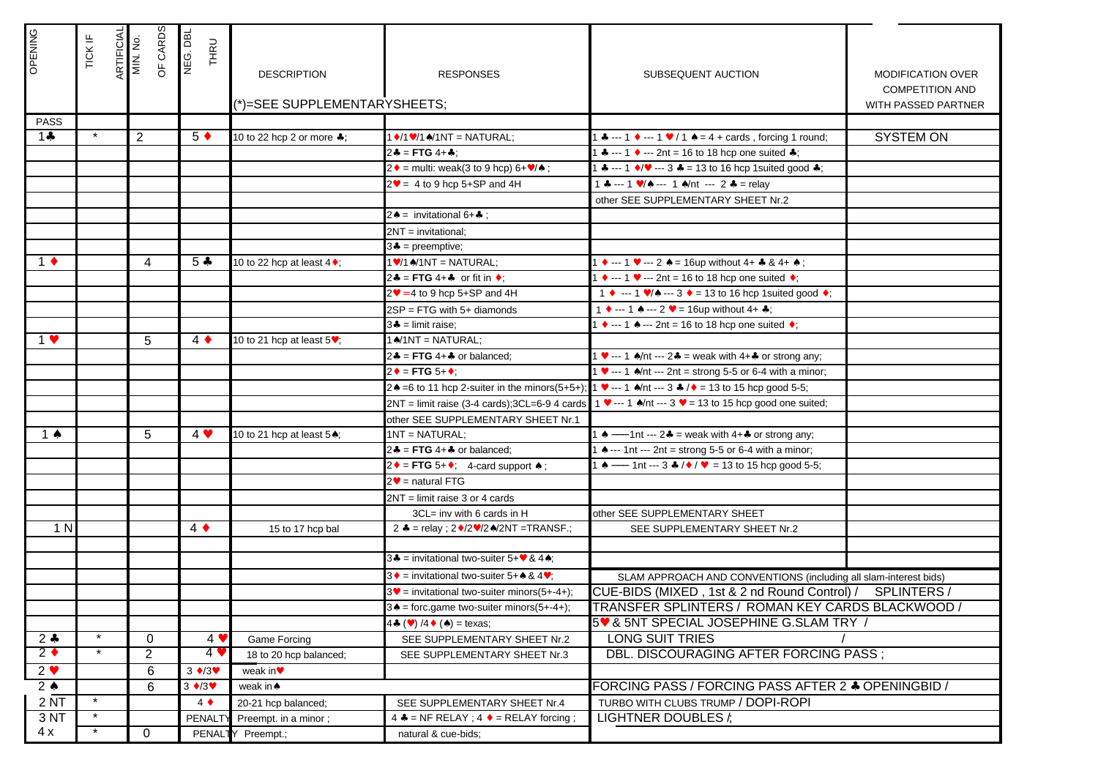| <b>OPENING</b>          | TICK IF | ARTIFICIAL<br>MIN. No. | OF CARDS       | NEG. DBL<br><b>THRU</b> | <b>DESCRIPTION</b>                   | <b>RESPONSES</b>                                                           | SUBSEQUENT AUCTION                                                                                                                                  | <b>MODIFICATION OVER</b><br><b>COMPETITION AND</b> |
|-------------------------|---------|------------------------|----------------|-------------------------|--------------------------------------|----------------------------------------------------------------------------|-----------------------------------------------------------------------------------------------------------------------------------------------------|----------------------------------------------------|
|                         |         |                        |                |                         | (*)=SEE SUPPLEMENTARYSHEETS;         |                                                                            |                                                                                                                                                     | WITH PASSED PARTNER                                |
| <b>PASS</b>             |         |                        |                |                         |                                      |                                                                            |                                                                                                                                                     |                                                    |
| $1 +$                   |         |                        | 2              | $5 \bullet$             | 10 to 22 hcp 2 or more $\clubsuit$ ; | $1 \cdot 1 \cdot 1 \cdot 1 \cdot 1 \cdot 1$ MATURAL;                       | $\bullet$ --- 1 $\bullet$ --- 1 $\bullet$ / 1 $\bullet$ = 4 + cards, forcing 1 round;                                                               | <b>SYSTEM ON</b>                                   |
|                         |         |                        |                |                         |                                      | $2* = FTG 4+S$                                                             | $\clubsuit$ --- 1 $\bullet$ --- 2nt = 16 to 18 hcp one suited $\clubsuit$ ;                                                                         |                                                    |
|                         |         |                        |                |                         |                                      | $2 \cdot =$ multi: weak(3 to 9 hcp) 6+ $\cdot$ / $\cdot$ ;                 | $\bullet$ --- 1 $\bullet/\bullet$ --- 3 $\bullet$ = 13 to 16 hcp 1 suited good $\bullet$ ;                                                          |                                                    |
|                         |         |                        |                |                         |                                      | $2\mathbf{v} = 4$ to 9 hcp 5+SP and 4H                                     | 1 * --- 1 $\sqrt{4}$ --- 1 */nt --- 2 * = relay                                                                                                     |                                                    |
|                         |         |                        |                |                         |                                      |                                                                            | other SEE SUPPLEMENTARY SHEET Nr.2                                                                                                                  |                                                    |
|                         |         |                        |                |                         |                                      | $2 \triangleq$ = invitational 6+ $\triangleq$ ;                            |                                                                                                                                                     |                                                    |
|                         |         |                        |                |                         |                                      | $2NT =$ invitational;                                                      |                                                                                                                                                     |                                                    |
|                         |         |                        |                |                         |                                      | $3\clubsuit$ = preemptive;                                                 |                                                                                                                                                     |                                                    |
| 1 $\bullet$             |         |                        | 4              | $5 +$                   | 10 to 22 hcp at least $4 \div 7$     | $1 \cdot 1 \cdot 4$ /1NT = NATURAL;                                        | $1 \bullet$ --- 1 $\bullet$ --- 2 $\bullet$ = 16up without 4+ $\bullet$ & 4+ $\bullet$ ;                                                            |                                                    |
|                         |         |                        |                |                         |                                      | $2* = FTG 4+S$ or fit in ";                                                | 1 $\bullet$ --- 1 $\bullet$ --- 2nt = 16 to 18 hcp one suited $\bullet$ ;                                                                           |                                                    |
|                         |         |                        |                |                         |                                      | $2\mathbf{v} = 4$ to 9 hcp 5+SP and 4H                                     | 1 $\bullet$ --- 1 $\bullet$ / $\bullet$ --- 3 $\bullet$ = 13 to 16 hcp 1 suited good $\bullet$ ;                                                    |                                                    |
|                         |         |                        |                |                         |                                      | $2SP = FTG$ with $5+$ diamonds                                             | 1 $\bullet$ --- 1 $\bullet$ --- 2 $\bullet$ = 16up without 4+ $\bullet$ ;                                                                           |                                                    |
|                         |         |                        |                |                         |                                      | $3 - \text{limit raise:}$                                                  | 1 $\bullet$ --- 1 $\bullet$ --- 2nt = 16 to 18 hcp one suited $\bullet$ ;                                                                           |                                                    |
| $1 \vee$                |         |                        | 5              | $4 \bullet$             | 10 to 21 hcp at least 5♥;            | $1$ $\triangle$ /1NT = NATURAL;                                            |                                                                                                                                                     |                                                    |
|                         |         |                        |                |                         |                                      | $2* = FTG 4+S$ or balanced;                                                | 1 $\bullet$ --- 1 $\bullet$ /nt --- 2 $\bullet$ = weak with 4+ $\bullet$ or strong any;                                                             |                                                    |
|                         |         |                        |                |                         |                                      | $2 \bullet = FTG 5 + \bullet$                                              | 1 $\bullet$ --- 1 $\bullet$ /nt --- 2nt = strong 5-5 or 6-4 with a minor;                                                                           |                                                    |
|                         |         |                        |                |                         |                                      |                                                                            | $2\spadesuit$ =6 to 11 hcp 2-suiter in the minors(5+5+); 1 $\bullet$ --- 1 $\spadesuit$ /nt --- 3 $\spadesuit$ / $\bullet$ = 13 to 15 hcp good 5-5; |                                                    |
|                         |         |                        |                |                         |                                      |                                                                            | $2NT =$ limit raise (3-4 cards);3CL=6-9 4 cards $1 \cdot -1$ A/nt --- 3 $\cdot = 13$ to 15 hcp good one suited;                                     |                                                    |
|                         |         |                        |                |                         |                                      | other SEE SUPPLEMENTARY SHEET Nr.1                                         |                                                                                                                                                     |                                                    |
| 1 A                     |         |                        | 5              | $4 \cdot$               | 10 to 21 hcp at least 5.;            | $1NT = NATURAL$ ;                                                          | $\bullet$ --- 1nt --- 2 $\bullet$ = weak with 4+ $\bullet$ or strong any;                                                                           |                                                    |
|                         |         |                        |                |                         |                                      | $2*$ = FTG 4+§ or balanced;                                                | $\bullet$ --- 1nt --- 2nt = strong 5-5 or 6-4 with a minor;                                                                                         |                                                    |
|                         |         |                        |                |                         |                                      | $2 \cdot = FTG \ 5 + \cdot; \quad 4\text{-card support} \cdot;$            | $\star$ --- 1nt --- 3 $\star$ / $\star$ / $\star$ = 13 to 15 hcp good 5-5;                                                                          |                                                    |
|                         |         |                        |                |                         |                                      | $2\bullet$ = natural FTG                                                   |                                                                                                                                                     |                                                    |
|                         |         |                        |                |                         |                                      | $2NT =$ limit raise 3 or 4 cards                                           |                                                                                                                                                     |                                                    |
|                         |         |                        |                |                         |                                      | 3CL= inv with 6 cards in H                                                 | other SEE SUPPLEMENTARY SHEET                                                                                                                       |                                                    |
| 1 N                     |         |                        |                | $4 \bullet$             | 15 to 17 hcp bal                     | 2 $\triangle$ = relay ; 2 $\angle$ /2 $\angle$ /2 $\angle$ /2NT = TRANSF.; | SEE SUPPLEMENTARY SHEET Nr.2                                                                                                                        |                                                    |
|                         |         |                        |                |                         |                                      |                                                                            |                                                                                                                                                     |                                                    |
|                         |         |                        |                |                         |                                      | $3* =$ invitational two-suiter $5** 8.4*$ ;                                |                                                                                                                                                     |                                                    |
|                         |         |                        |                |                         |                                      | $3 \cdot$ = invitational two-suiter 5+ $\cdot$ & 4 $\cdot$ ;               | SLAM APPROACH AND CONVENTIONS (including all slam-interest bids)                                                                                    |                                                    |
|                         |         |                        |                |                         |                                      | $3\bullet$ = invitational two-suiter minors(5+-4+);                        | CUE-BIDS (MIXED, 1st & 2 nd Round Control) / SPLINTERS /                                                                                            |                                                    |
|                         |         |                        |                |                         |                                      | $3 \triangle$ = forc.game two-suiter minors(5+-4+);                        | TRANSFER SPLINTERS / ROMAN KEY CARDS BLACKWOOD /                                                                                                    |                                                    |
|                         |         |                        |                |                         |                                      | $4*(\bullet) / 4*(\bullet) = \text{texas};$                                | 5V & 5NT SPECIAL JOSEPHINE G.SLAM TRY /                                                                                                             |                                                    |
| $2 - 2$                 |         |                        | $\mathbf 0$    | 4 <sub>9</sub>          | <b>Game Forcing</b>                  | SEE SUPPLEMENTARY SHEET Nr.2                                               | <b>LONG SUIT TRIES</b>                                                                                                                              |                                                    |
| $2 \bullet$             | $\star$ |                        | $\overline{2}$ | $4 \vee$                | 18 to 20 hcp balanced;               | SEE SUPPLEMENTARY SHEET Nr.3                                               | DBL. DISCOURAGING AFTER FORCING PASS ;                                                                                                              |                                                    |
| $2 \bullet$             |         |                        | 6              | $3 \div 3$              | weak in $\bullet$                    |                                                                            |                                                                                                                                                     |                                                    |
| $2 \triangle$           |         |                        | 6              | $3 \div 3$              | weak in <b>♠</b>                     |                                                                            | FORCING PASS / FORCING PASS AFTER 2 + OPENINGBID /                                                                                                  |                                                    |
| $2\overline{\text{NT}}$ | $\star$ |                        |                | $4 \bullet$             | 20-21 hcp balanced;                  | SEE SUPPLEMENTARY SHEET Nr.4                                               | TURBO WITH CLUBS TRUMP / DOPI-ROPI                                                                                                                  |                                                    |
| 3 <sub>NT</sub>         | $\star$ |                        |                | <b>PENAL1</b>           | Preempt. in a minor;                 | 4 $\bullet$ = NF RELAY ; 4 $\bullet$ = RELAY forcing ;                     | LIGHTNER DOUBLES /                                                                                                                                  |                                                    |
| 4 x                     |         |                        | 0              | <b>PENAL1</b>           | Preempt.;                            | natural & cue-bids;                                                        |                                                                                                                                                     |                                                    |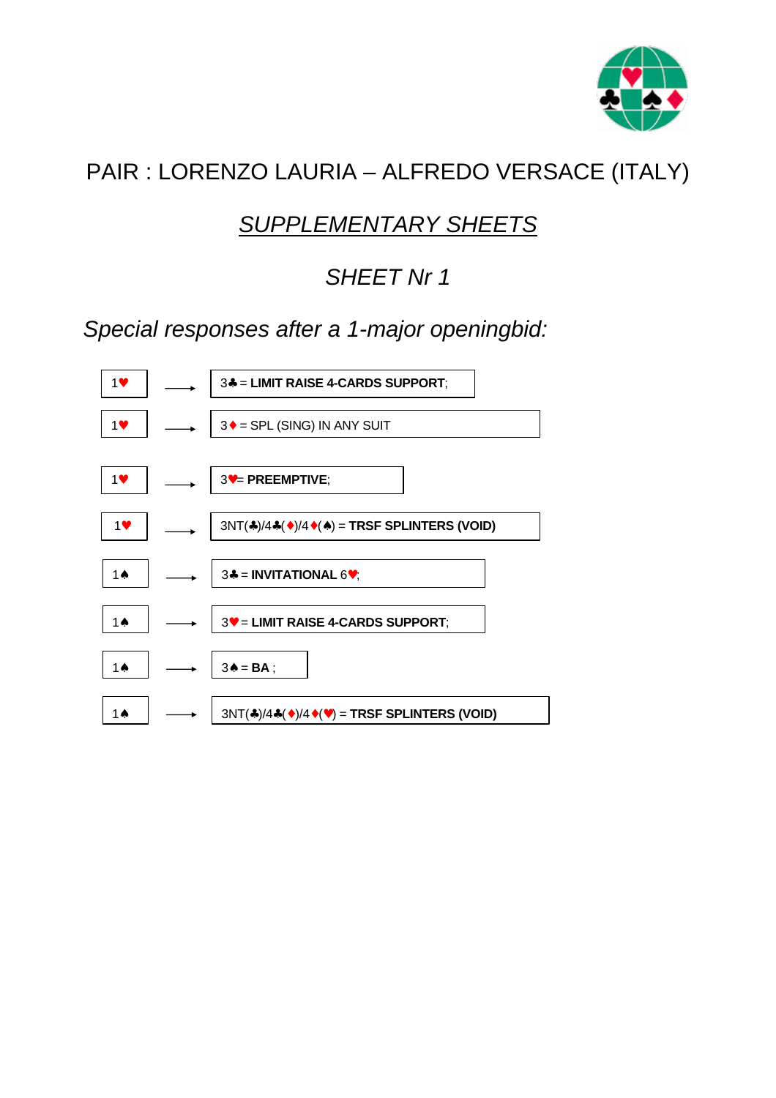

# PAIR : LORENZO LAURIA – ALFREDO VERSACE (ITALY)

### *SUPPLEMENTARY SHEETS*

## *SHEET Nr 1*

*Special responses after a 1-major openingbid:*

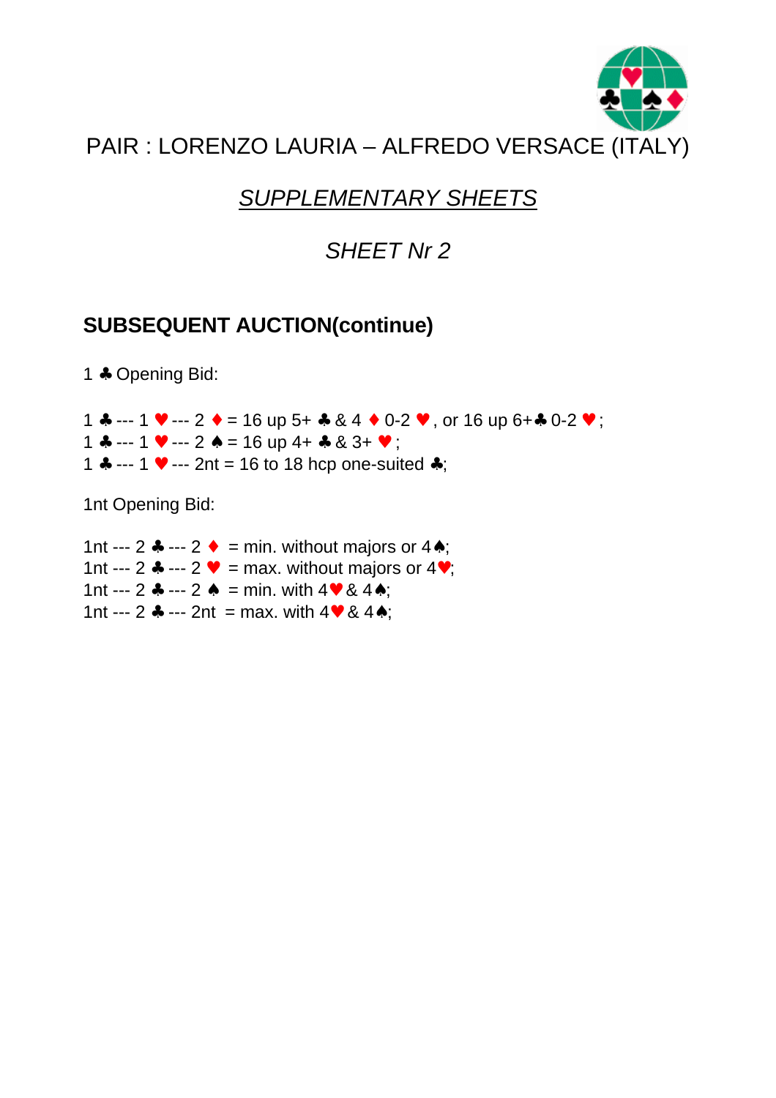

## *SUPPLEMENTARY SHEETS*

## *SHEET Nr 2*

#### **SUBSEQUENT AUCTION(continue)**

1 ♣ Opening Bid:

1  $\bullet$  --- 1  $\bullet$  --- 2  $\bullet$  = 16 up 5+  $\bullet$  & 4  $\bullet$  0-2  $\bullet$  , or 16 up 6+ $\bullet$  0-2  $\bullet$ ; 1  $\ast$  --- 1  $\bullet$  --- 2  $\ast$  = 16 up 4+  $\ast$  & 3+  $\bullet$ ; 1  $\ast$  --- 1  $\ast$  --- 2nt = 16 to 18 hcp one-suited  $\ast$ ;

1nt Opening Bid:

1nt --- 2  $\bullet$  --- 2  $\bullet$  = min. without majors or 4 $\bullet$ ; 1nt --- 2  $\bullet$  --- 2  $\bullet$  = max. without majors or 4 $\bullet$ ; 1nt --- 2  $\ast$  --- 2  $\ast$  = min. with 4 $\ast$  & 4 $\ast$ ; 1nt --- 2  $\ast$  --- 2nt = max. with  $4 \cdot 8 \cdot 4 \cdot$ ;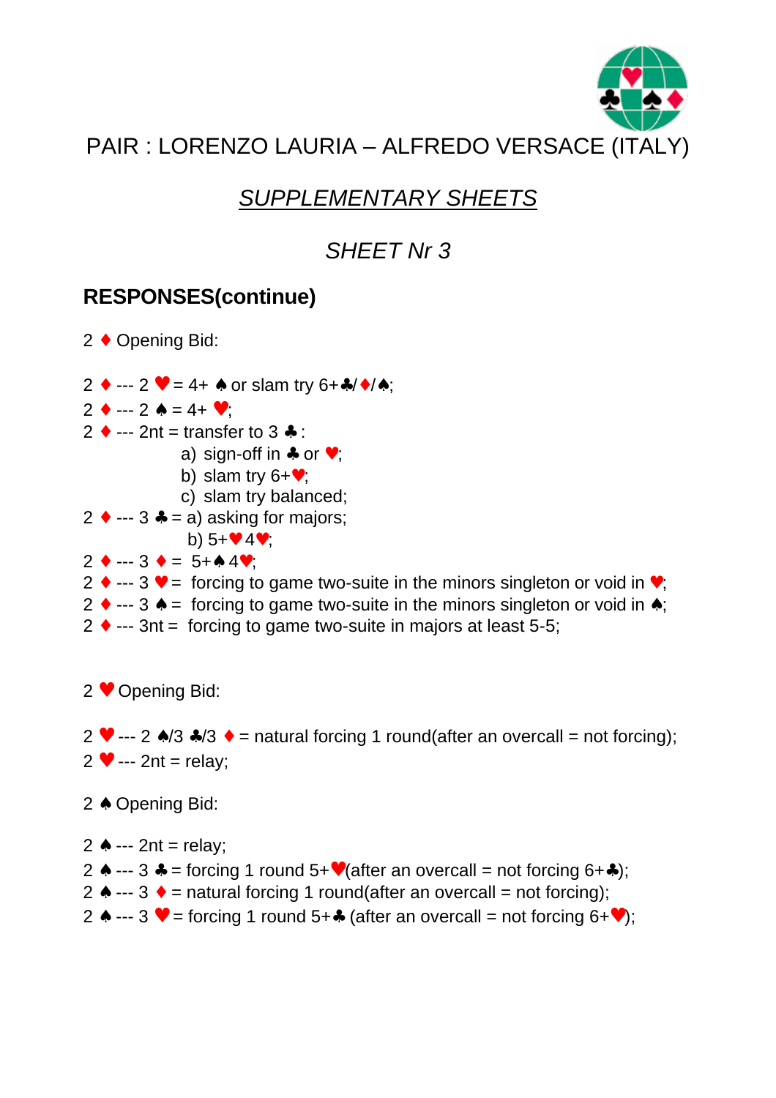

## *SUPPLEMENTARY SHEETS*

## *SHEET Nr 3*

#### **RESPONSES(continue)**

2 ♦ Opening Bid:

2  $\leftrightarrow$  --- 2  $\blacktriangledown$  = 4+  $\clubsuit$  or slam try 6+ $\clubsuit$ / $\blacklozenge$ / $\spadesuit$ ;

 $2 \bullet -2 \bullet = 4+ \bullet$ ;

- $2 \leftrightarrow -2$ nt = transfer to 3  $\clubsuit$  :
	- a) sign-off in ♣ or ♥;
	- b) slam try  $6 + \bullet$ ;
	- c) slam try balanced;
- $2 \leftrightarrow \cdots 3 \div = a$ ) asking for majors;
	- b)  $5 + 4$   $4$   $*$
- $2 \leftrightarrow -3 \leftrightarrow 5+A4 \cdot \frac{1}{2}$
- 2  $\bullet$  --- 3  $\bullet$  = forcing to game two-suite in the minors singleton or void in  $\bullet$ ;
- 2  $\bullet$  --- 3  $\bullet$  = forcing to game two-suite in the minors singleton or void in  $\bullet$ ;
- 2  $\bullet$  --- 3nt = forcing to game two-suite in majors at least 5-5;
- 2 ♥ Opening Bid:
- 2  $\bullet$  --- 2  $\triangle A/3 \triangle A$  = natural forcing 1 round(after an overcall = not forcing);  $2 \bullet -2$ nt = relay;
- 2 ♦ Opening Bid:
- 2  $\triangle$  --- 2nt = relay;
- 2  $\triangle$  --- 3  $\clubsuit$  = forcing 1 round 5+ $\blacktriangledown$  (after an overcall = not forcing 6+ $\clubsuit$ );
- 2 ♦  $\leftarrow$  3 ♦ = natural forcing 1 round(after an overcall = not forcing);
- 2  $\leftrightarrow$  --- 3  $\bullet$  = forcing 1 round 5+ $\bullet$  (after an overcall = not forcing 6+ $\bullet$ );